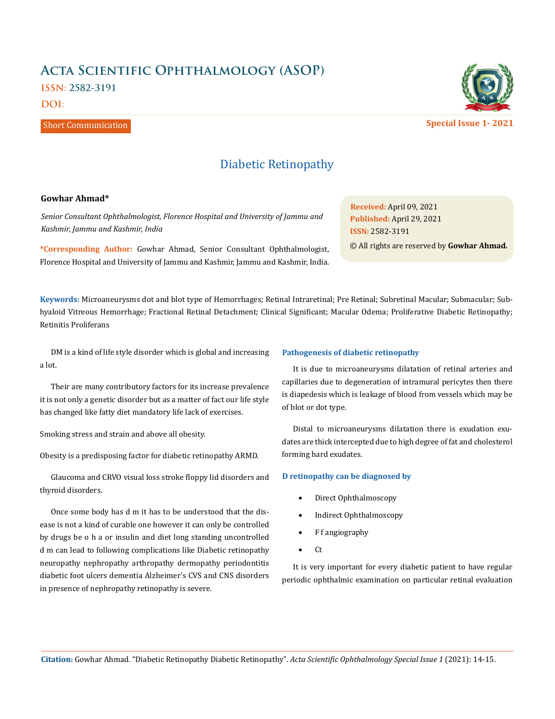# **Acta Scientific Ophthalmology (ASOP)**

**ISSN: 2582-3191**

**DOI:** 

## Short Communication

## Diabetic Retinopathy

#### **Gowhar Ahmad\***

*Senior Consultant Ophthalmologist, Florence Hospital and University of Jammu and Kashmir, Jammu and Kashmir, India*

**\*Corresponding Author:** Gowhar Ahmad, Senior Consultant Ophthalmologist, Florence Hospital and University of Jammu and Kashmir, Jammu and Kashmir, India.

**Received:** April 09, 2021 **Published:** April 29, 2021 © All rights are reserved by **Gowhar Ahmad***.* **ISSN:** 2582-3191

**Keywords:** Microaneurysms dot and blot type of Hemorrhages; Retinal Intraretinal; Pre Retinal; Subretinal Macular; Submacular; Subhyaloid Vitreous Hemorrhage; Fractional Retinal Detachment; Clinical Significant; Macular Odema; Proliferative Diabetic Retinopathy; Retinitis Proliferans

DM is a kind of life style disorder which is global and increasing a lot.

Their are many contributory factors for its increase prevalence it is not only a genetic disorder but as a matter of fact our life style has changed like fatty diet mandatory life lack of exercises.

Smoking stress and strain and above all obesity.

Obesity is a predisposing factor for diabetic retinopathy ARMD.

Glaucoma and CRVO visual loss stroke floppy lid disorders and thyroid disorders.

Once some body has d m it has to be understood that the disease is not a kind of curable one however it can only be controlled by drugs be o h a or insulin and diet long standing uncontrolled d m can lead to following complications like Diabetic retinopathy neuropathy nephropathy arthropathy dermopathy periodontitis diabetic foot ulcers dementia Alzheimer's CVS and CNS disorders in presence of nephropathy retinopathy is severe.

#### **Pathogenesis of diabetic retinopathy**

It is due to microaneurysms dilatation of retinal arteries and capillaries due to degeneration of intramural pericytes then there is diapedesis which is leakage of blood from vessels which may be of blot or dot type.

Distal to microaneurysms dilatation there is exudation exudates are thick intercepted due to high degree of fat and cholesterol forming hard exudates.

#### **D retinopathy can be diagnosed by**

- Direct Ophthalmoscopy
- Indirect Ophthalmoscopy
- • F f angiography
- $\bullet$  Ct

It is very important for every diabetic patient to have regular periodic ophthalmic examination on particular retinal evaluation

**Citation:** Gowhar Ahmad*.* "Diabetic Retinopathy Diabetic Retinopathy". *Acta Scientific Ophthalmology Special Issue 1* (2021): 14-15.



**Special Issue 1- 2021**